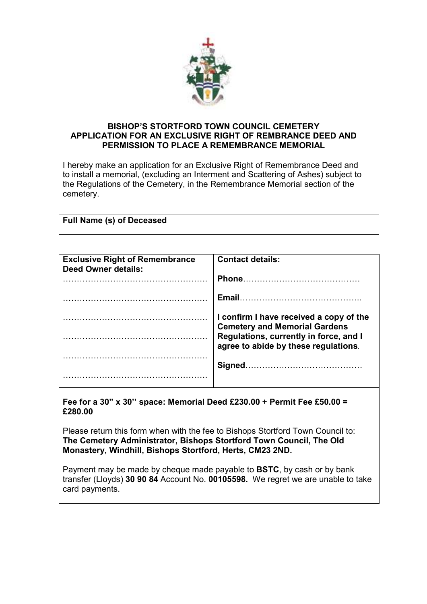

## **BISHOP'S STORTFORD TOWN COUNCIL CEMETERY APPLICATION FOR AN EXCLUSIVE RIGHT OF REMBRANCE DEED AND PERMISSION TO PLACE A REMEMBRANCE MEMORIAL**

I hereby make an application for an Exclusive Right of Remembrance Deed and to install a memorial, (excluding an Interment and Scattering of Ashes) subject to the Regulations of the Cemetery, in the Remembrance Memorial section of the cemetery.

| <b>Full Name (s) of Deceased</b> |
|----------------------------------|
|----------------------------------|

| <b>Exclusive Right of Remembrance</b><br><b>Deed Owner details:</b> | <b>Contact details:</b>                                                         |
|---------------------------------------------------------------------|---------------------------------------------------------------------------------|
|                                                                     | Phone                                                                           |
|                                                                     | <b>Email</b>                                                                    |
|                                                                     | I confirm I have received a copy of the<br><b>Cemetery and Memorial Gardens</b> |
|                                                                     | Regulations, currently in force, and I<br>agree to abide by these regulations.  |
|                                                                     |                                                                                 |
|                                                                     |                                                                                 |

**Fee for a 30" x 30'' space: Memorial Deed £230.00 + Permit Fee £50.00 = £280.00** 

Please return this form when with the fee to Bishops Stortford Town Council to: **The Cemetery Administrator, Bishops Stortford Town Council, The Old Monastery, Windhill, Bishops Stortford, Herts, CM23 2ND.** 

Payment may be made by cheque made payable to **BSTC**, by cash or by bank transfer (Lloyds) **30 90 84** Account No. **00105598.** We regret we are unable to take card payments.